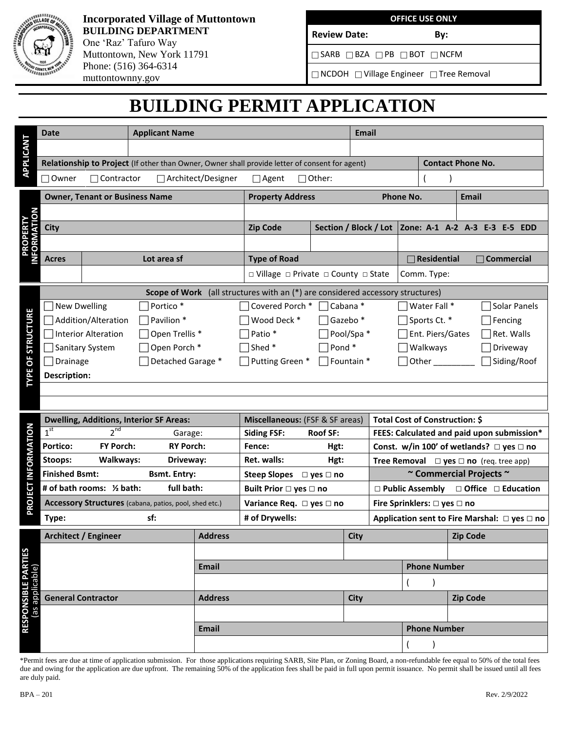

## **Incorporated Village of Muttontown BUILDING DEPARTMENT** One 'Raz' Tafuro Way Muttontown, New York 11791 Phone: (516) 364-6314 muttontownny.gov

### **OFFICE USE ONLY**

 $\Box$ SARB  $\Box$ BZA  $\Box$ PB  $\Box$ BOT  $\Box$ NCFM

Review Date: By:

NCDOH Village Engineer Tree Removal

# **BUILDING PERMIT APPLICATION**

|                                 | <b>Date</b>                                            |                                                                                | <b>Applicant Name</b>                 |                                                                                                |                                               |  |      | <b>Email</b>                                       |                                                                        |                                                       |                                                  |                               |  |  |  |
|---------------------------------|--------------------------------------------------------|--------------------------------------------------------------------------------|---------------------------------------|------------------------------------------------------------------------------------------------|-----------------------------------------------|--|------|----------------------------------------------------|------------------------------------------------------------------------|-------------------------------------------------------|--------------------------------------------------|-------------------------------|--|--|--|
| APPLICANT                       |                                                        |                                                                                |                                       |                                                                                                |                                               |  |      |                                                    |                                                                        |                                                       |                                                  |                               |  |  |  |
|                                 |                                                        |                                                                                |                                       | Relationship to Project (If other than Owner, Owner shall provide letter of consent for agent) |                                               |  |      |                                                    |                                                                        |                                                       |                                                  | <b>Contact Phone No.</b>      |  |  |  |
|                                 | $\Box$ Owner<br>Contractor                             |                                                                                |                                       | □ Architect/Designer                                                                           | $\Box$ Agent<br>$\Box$ Other:                 |  |      |                                                    |                                                                        |                                                       |                                                  |                               |  |  |  |
|                                 | <b>Owner, Tenant or Business Name</b>                  |                                                                                |                                       |                                                                                                | <b>Property Address</b>                       |  |      | Phone No.                                          |                                                                        |                                                       |                                                  | <b>Email</b>                  |  |  |  |
| <b>PROPERTY<br/>INFORMATION</b> |                                                        |                                                                                |                                       |                                                                                                |                                               |  |      |                                                    |                                                                        |                                                       |                                                  |                               |  |  |  |
|                                 | <b>City</b>                                            |                                                                                |                                       |                                                                                                | <b>Zip Code</b><br>Section / Block / Lot      |  |      |                                                    |                                                                        |                                                       |                                                  | Zone: A-1 A-2 A-3 E-3 E-5 EDD |  |  |  |
|                                 |                                                        |                                                                                |                                       |                                                                                                |                                               |  |      |                                                    |                                                                        |                                                       |                                                  |                               |  |  |  |
|                                 | Lot area sf<br>Acres                                   |                                                                                |                                       |                                                                                                | <b>Type of Road</b>                           |  |      |                                                    | $\Box$ Residential<br>$\Box$ Commercial                                |                                                       |                                                  |                               |  |  |  |
|                                 |                                                        |                                                                                |                                       | □ Village □ Private □ County □ State                                                           |                                               |  |      |                                                    |                                                                        |                                                       | Comm. Type:                                      |                               |  |  |  |
|                                 |                                                        | Scope of Work (all structures with an (*) are considered accessory structures) |                                       |                                                                                                |                                               |  |      |                                                    |                                                                        |                                                       |                                                  |                               |  |  |  |
|                                 | Portico*<br><b>New Dwelling</b>                        |                                                                                |                                       | Covered Porch * □ Cabana *                                                                     |                                               |  |      |                                                    | $\exists$ Water Fall $^*$<br>Solar Panels                              |                                                       |                                                  |                               |  |  |  |
| <b>STRUCTURE</b>                | Addition/Alteration<br>Pavilion *                      |                                                                                |                                       | Wood Deck *<br>$\Box$ Gazebo $*$                                                               |                                               |  |      |                                                    | $\exists$ Sports Ct. *<br>Fencing                                      |                                                       |                                                  |                               |  |  |  |
|                                 | <b>Interior Alteration</b><br>Open Trellis *           |                                                                                |                                       |                                                                                                | Patio <sup>*</sup><br>$\Box$ Pool/Spa *       |  |      |                                                    |                                                                        | 7 Ent. Piers/Gates<br>Ret. Walls                      |                                                  |                               |  |  |  |
|                                 | Open Porch *<br>Sanitary System                        |                                                                                |                                       |                                                                                                | $\Box$ Shed $^*$<br>$\Box$ Pond $*$           |  |      |                                                    |                                                                        | Walkways<br>Driveway                                  |                                                  |                               |  |  |  |
|                                 | Detached Garage *<br>$\Box$ Drainage                   |                                                                                |                                       |                                                                                                | $\Box$ Putting Green *<br>$\Box$ Fountain $*$ |  |      |                                                    |                                                                        |                                                       | $\Box$ Other $\rule{1em}{0.15mm}$<br>Siding/Roof |                               |  |  |  |
| <b>TYPE OF</b>                  | <b>Description:</b>                                    |                                                                                |                                       |                                                                                                |                                               |  |      |                                                    |                                                                        |                                                       |                                                  |                               |  |  |  |
|                                 |                                                        |                                                                                |                                       |                                                                                                |                                               |  |      |                                                    |                                                                        |                                                       |                                                  |                               |  |  |  |
|                                 |                                                        |                                                                                |                                       |                                                                                                |                                               |  |      |                                                    |                                                                        |                                                       |                                                  |                               |  |  |  |
| PROJECT INFORMATION             | <b>Dwelling, Additions, Interior SF Areas:</b>         |                                                                                |                                       |                                                                                                | Miscellaneous: (FSF & SF areas)               |  |      |                                                    | Total Cost of Construction: \$                                         |                                                       |                                                  |                               |  |  |  |
|                                 | 2 <sup>nd</sup><br>1 <sup>st</sup><br>Garage:          |                                                                                | <b>Siding FSF:</b><br><b>Roof SF:</b> |                                                                                                |                                               |  |      |                                                    |                                                                        |                                                       | FEES: Calculated and paid upon submission*       |                               |  |  |  |
|                                 | FY Porch:<br><b>RY Porch:</b><br><b>Portico:</b>       |                                                                                |                                       | Fence:<br>Hgt:                                                                                 |                                               |  |      | Const. w/in 100' of wetlands? $\Box$ yes $\Box$ no |                                                                        |                                                       |                                                  |                               |  |  |  |
|                                 | Walkways:<br>Stoops:<br>Driveway:                      |                                                                                |                                       |                                                                                                | Ret. walls:<br>Hgt:                           |  |      |                                                    | <b>Tree Removal</b> $\Box$ <b>yes</b> $\Box$ <b>no</b> (req. tree app) |                                                       |                                                  |                               |  |  |  |
|                                 | <b>Finished Bsmt:</b><br><b>Bsmt. Entry:</b>           |                                                                                |                                       |                                                                                                | Steep Slopes □ yes □ no                       |  |      |                                                    | ~ Commercial Projects ~                                                |                                                       |                                                  |                               |  |  |  |
|                                 | # of bath rooms: 1/2 bath:<br>full bath:               |                                                                                |                                       |                                                                                                | Built Prior □ yes □ no                        |  |      |                                                    |                                                                        | $\Box$ Public Assembly $\Box$ Office $\Box$ Education |                                                  |                               |  |  |  |
|                                 | Accessory Structures (cabana, patios, pool, shed etc.) |                                                                                |                                       |                                                                                                | Variance Req. □ yes □ no                      |  |      |                                                    | Fire Sprinklers: □ yes □ no                                            |                                                       |                                                  |                               |  |  |  |
|                                 | Type:                                                  |                                                                                |                                       | # of Drywells:                                                                                 |                                               |  |      | Application sent to Fire Marshal: □ yes □ no       |                                                                        |                                                       |                                                  |                               |  |  |  |
|                                 | <b>Architect / Engineer</b>                            |                                                                                |                                       | <b>Address</b>                                                                                 |                                               |  | City |                                                    |                                                                        |                                                       | <b>Zip Code</b>                                  |                               |  |  |  |
|                                 |                                                        |                                                                                |                                       |                                                                                                |                                               |  |      |                                                    |                                                                        |                                                       |                                                  |                               |  |  |  |
|                                 |                                                        |                                                                                |                                       | <b>Email</b>                                                                                   |                                               |  |      |                                                    |                                                                        | <b>Phone Number</b>                                   |                                                  |                               |  |  |  |
|                                 |                                                        |                                                                                |                                       |                                                                                                |                                               |  |      |                                                    |                                                                        |                                                       |                                                  |                               |  |  |  |
|                                 | <b>General Contractor</b>                              |                                                                                |                                       | <b>Address</b>                                                                                 |                                               |  |      | <b>City</b>                                        |                                                                        |                                                       |                                                  | <b>Zip Code</b>               |  |  |  |
|                                 | <b>RESPONSIBLE PARTIES</b><br>(as applicable)          |                                                                                |                                       |                                                                                                |                                               |  |      |                                                    |                                                                        |                                                       |                                                  |                               |  |  |  |
|                                 |                                                        |                                                                                |                                       | <b>Email</b>                                                                                   |                                               |  |      |                                                    |                                                                        | <b>Phone Number</b>                                   |                                                  |                               |  |  |  |
|                                 |                                                        |                                                                                |                                       |                                                                                                |                                               |  |      |                                                    |                                                                        |                                                       |                                                  |                               |  |  |  |

\*Permit fees are due at time of application submission. For those applications requiring SARB, Site Plan, or Zoning Board, a non-refundable fee equal to 50% of the total fees due and owing for the application are due upfront. The remaining 50% of the application fees shall be paid in full upon permit issuance. No permit shall be issued until all fees are duly paid.